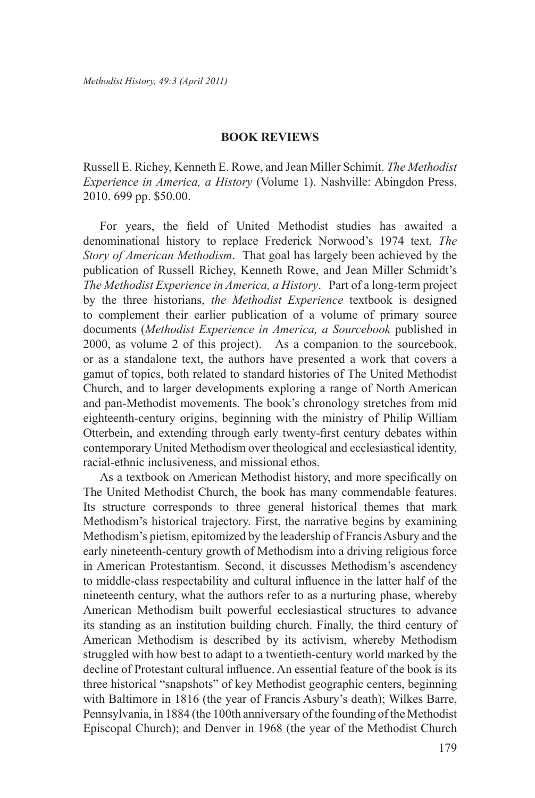## **BOOK REVIEWS**

Russell E. Richey, Kenneth E. Rowe, and Jean Miller Schimit. *The Methodist Experience in America, a History* (Volume 1). Nashville: Abingdon Press, 2010. 699 pp. \$50.00.

For years, the field of United Methodist studies has awaited a denominational history to replace Frederick Norwood's 1974 text, *The Story of American Methodism*. That goal has largely been achieved by the publication of Russell Richey, Kenneth Rowe, and Jean Miller Schmidt's *The Methodist Experience in America, a History*. Part of a long-term project by the three historians, *the Methodist Experience* textbook is designed to complement their earlier publication of a volume of primary source documents (*Methodist Experience in America, a Sourcebook* published in 2000, as volume 2 of this project). As a companion to the sourcebook, or as a standalone text, the authors have presented a work that covers a gamut of topics, both related to standard histories of The United Methodist Church, and to larger developments exploring a range of North American and pan-Methodist movements. The book's chronology stretches from mid eighteenth-century origins, beginning with the ministry of Philip William Otterbein, and extending through early twenty-first century debates within contemporary United Methodism over theological and ecclesiastical identity, racial-ethnic inclusiveness, and missional ethos.

As a textbook on American Methodist history, and more specifically on The United Methodist Church, the book has many commendable features. Its structure corresponds to three general historical themes that mark Methodism's historical trajectory. First, the narrative begins by examining Methodism's pietism, epitomized by the leadership of Francis Asbury and the early nineteenth-century growth of Methodism into a driving religious force in American Protestantism. Second, it discusses Methodism's ascendency to middle-class respectability and cultural influence in the latter half of the nineteenth century, what the authors refer to as a nurturing phase, whereby American Methodism built powerful ecclesiastical structures to advance its standing as an institution building church. Finally, the third century of American Methodism is described by its activism, whereby Methodism struggled with how best to adapt to a twentieth-century world marked by the decline of Protestant cultural influence. An essential feature of the book is its three historical "snapshots" of key Methodist geographic centers, beginning with Baltimore in 1816 (the year of Francis Asbury's death); Wilkes Barre, Pennsylvania, in 1884 (the 100th anniversary of the founding of the Methodist Episcopal Church); and Denver in 1968 (the year of the Methodist Church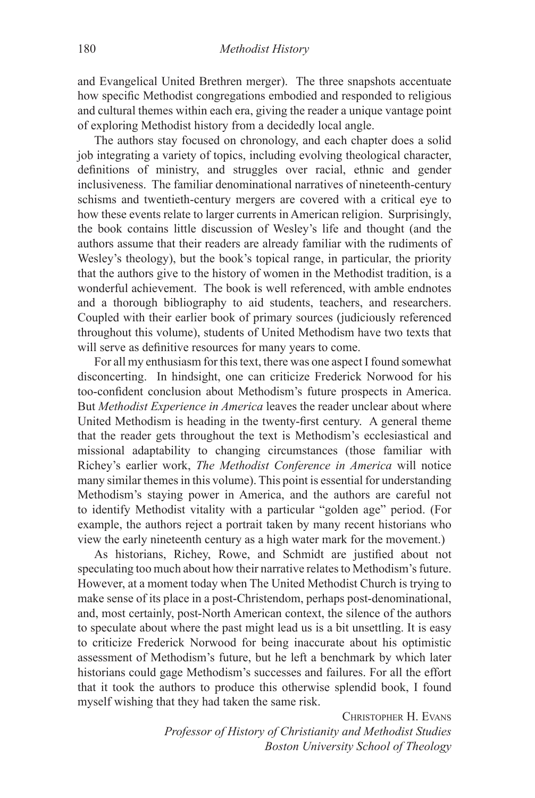and Evangelical United Brethren merger). The three snapshots accentuate how specific Methodist congregations embodied and responded to religious and cultural themes within each era, giving the reader a unique vantage point of exploring Methodist history from a decidedly local angle.

The authors stay focused on chronology, and each chapter does a solid job integrating a variety of topics, including evolving theological character, definitions of ministry, and struggles over racial, ethnic and gender inclusiveness. The familiar denominational narratives of nineteenth-century schisms and twentieth-century mergers are covered with a critical eye to how these events relate to larger currents in American religion. Surprisingly, the book contains little discussion of Wesley's life and thought (and the authors assume that their readers are already familiar with the rudiments of Wesley's theology), but the book's topical range, in particular, the priority that the authors give to the history of women in the Methodist tradition, is a wonderful achievement. The book is well referenced, with amble endnotes and a thorough bibliography to aid students, teachers, and researchers. Coupled with their earlier book of primary sources (judiciously referenced throughout this volume), students of United Methodism have two texts that will serve as definitive resources for many years to come.

For all my enthusiasm for this text, there was one aspect I found somewhat disconcerting. In hindsight, one can criticize Frederick Norwood for his too-confident conclusion about Methodism's future prospects in America. But *Methodist Experience in America* leaves the reader unclear about where United Methodism is heading in the twenty-first century. A general theme that the reader gets throughout the text is Methodism's ecclesiastical and missional adaptability to changing circumstances (those familiar with Richey's earlier work, *The Methodist Conference in America* will notice many similar themes in this volume). This point is essential for understanding Methodism's staying power in America, and the authors are careful not to identify Methodist vitality with a particular "golden age" period. (For example, the authors reject a portrait taken by many recent historians who view the early nineteenth century as a high water mark for the movement.)

As historians, Richey, Rowe, and Schmidt are justified about not speculating too much about how their narrative relates to Methodism's future. However, at a moment today when The United Methodist Church is trying to make sense of its place in a post-Christendom, perhaps post-denominational, and, most certainly, post-North American context, the silence of the authors to speculate about where the past might lead us is a bit unsettling. It is easy to criticize Frederick Norwood for being inaccurate about his optimistic assessment of Methodism's future, but he left a benchmark by which later historians could gage Methodism's successes and failures. For all the effort that it took the authors to produce this otherwise splendid book, I found myself wishing that they had taken the same risk.

> Christopher H. Evans *Professor of History of Christianity and Methodist Studies Boston University School of Theology*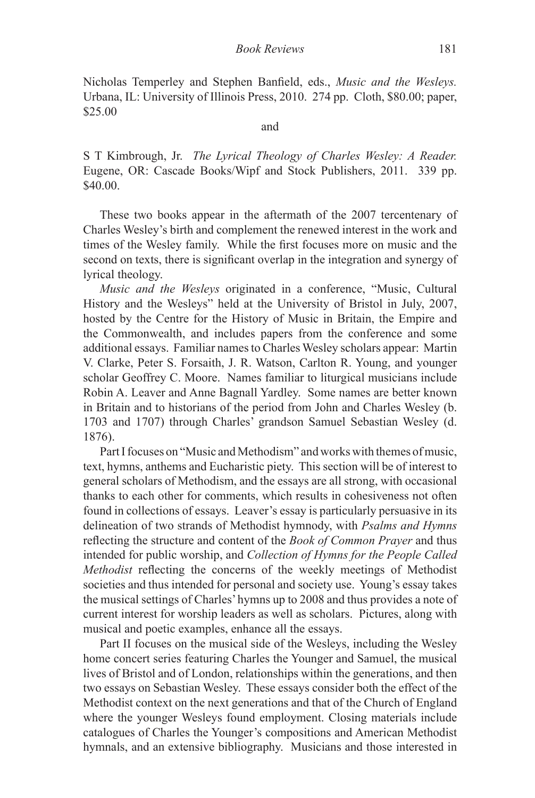Nicholas Temperley and Stephen Banfield, eds., *Music and the Wesleys.* Urbana, IL: University of Illinois Press, 2010. 274 pp. Cloth, \$80.00; paper, \$25.00

and

S T Kimbrough, Jr. *The Lyrical Theology of Charles Wesley: A Reader.* Eugene, OR: Cascade Books/Wipf and Stock Publishers, 2011. 339 pp. \$40.00.

These two books appear in the aftermath of the 2007 tercentenary of Charles Wesley's birth and complement the renewed interest in the work and times of the Wesley family. While the first focuses more on music and the second on texts, there is significant overlap in the integration and synergy of lyrical theology.

*Music and the Wesleys* originated in a conference, "Music, Cultural History and the Wesleys" held at the University of Bristol in July, 2007, hosted by the Centre for the History of Music in Britain, the Empire and the Commonwealth, and includes papers from the conference and some additional essays. Familiar names to Charles Wesley scholars appear: Martin V. Clarke, Peter S. Forsaith, J. R. Watson, Carlton R. Young, and younger scholar Geoffrey C. Moore. Names familiar to liturgical musicians include Robin A. Leaver and Anne Bagnall Yardley. Some names are better known in Britain and to historians of the period from John and Charles Wesley (b. 1703 and 1707) through Charles' grandson Samuel Sebastian Wesley (d. 1876).

Part I focuses on "Music and Methodism" and works with themes of music, text, hymns, anthems and Eucharistic piety. This section will be of interest to general scholars of Methodism, and the essays are all strong, with occasional thanks to each other for comments, which results in cohesiveness not often found in collections of essays. Leaver's essay is particularly persuasive in its delineation of two strands of Methodist hymnody, with *Psalms and Hymns* reflecting the structure and content of the *Book of Common Prayer* and thus intended for public worship, and *Collection of Hymns for the People Called Methodist* reflecting the concerns of the weekly meetings of Methodist societies and thus intended for personal and society use. Young's essay takes the musical settings of Charles' hymns up to 2008 and thus provides a note of current interest for worship leaders as well as scholars. Pictures, along with musical and poetic examples, enhance all the essays.

Part II focuses on the musical side of the Wesleys, including the Wesley home concert series featuring Charles the Younger and Samuel, the musical lives of Bristol and of London, relationships within the generations, and then two essays on Sebastian Wesley. These essays consider both the effect of the Methodist context on the next generations and that of the Church of England where the younger Wesleys found employment. Closing materials include catalogues of Charles the Younger's compositions and American Methodist hymnals, and an extensive bibliography. Musicians and those interested in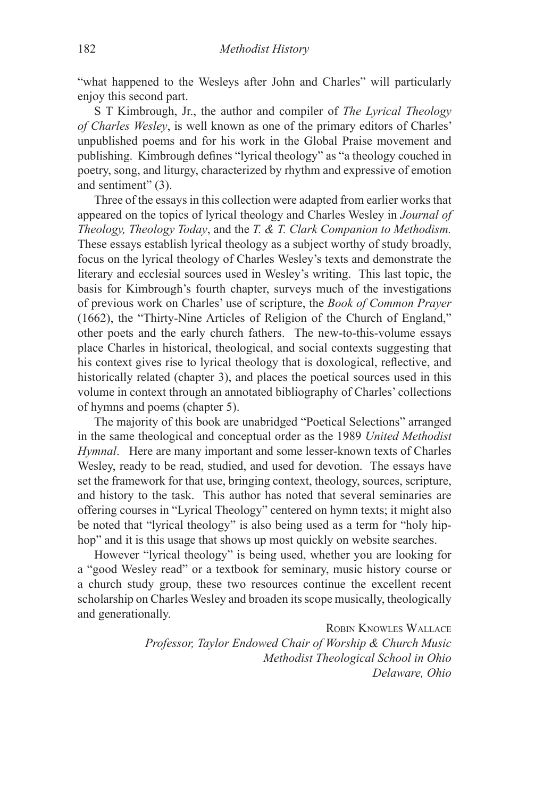"what happened to the Wesleys after John and Charles" will particularly enjoy this second part.

S T Kimbrough, Jr., the author and compiler of *The Lyrical Theology of Charles Wesley*, is well known as one of the primary editors of Charles' unpublished poems and for his work in the Global Praise movement and publishing. Kimbrough defines "lyrical theology" as "a theology couched in poetry, song, and liturgy, characterized by rhythm and expressive of emotion and sentiment" (3).

Three of the essays in this collection were adapted from earlier works that appeared on the topics of lyrical theology and Charles Wesley in *Journal of Theology, Theology Today*, and the *T. & T. Clark Companion to Methodism.* These essays establish lyrical theology as a subject worthy of study broadly, focus on the lyrical theology of Charles Wesley's texts and demonstrate the literary and ecclesial sources used in Wesley's writing. This last topic, the basis for Kimbrough's fourth chapter, surveys much of the investigations of previous work on Charles' use of scripture, the *Book of Common Prayer* (1662), the "Thirty-Nine Articles of Religion of the Church of England," other poets and the early church fathers. The new-to-this-volume essays place Charles in historical, theological, and social contexts suggesting that his context gives rise to lyrical theology that is doxological, reflective, and historically related (chapter 3), and places the poetical sources used in this volume in context through an annotated bibliography of Charles' collections of hymns and poems (chapter 5).

The majority of this book are unabridged "Poetical Selections" arranged in the same theological and conceptual order as the 1989 *United Methodist Hymnal*. Here are many important and some lesser-known texts of Charles Wesley, ready to be read, studied, and used for devotion. The essays have set the framework for that use, bringing context, theology, sources, scripture, and history to the task. This author has noted that several seminaries are offering courses in "Lyrical Theology" centered on hymn texts; it might also be noted that "lyrical theology" is also being used as a term for "holy hiphop" and it is this usage that shows up most quickly on website searches.

However "lyrical theology" is being used, whether you are looking for a "good Wesley read" or a textbook for seminary, music history course or a church study group, these two resources continue the excellent recent scholarship on Charles Wesley and broaden its scope musically, theologically and generationally.

> Robin Knowles Wallace *Professor, Taylor Endowed Chair of Worship & Church Music Methodist Theological School in Ohio Delaware, Ohio*